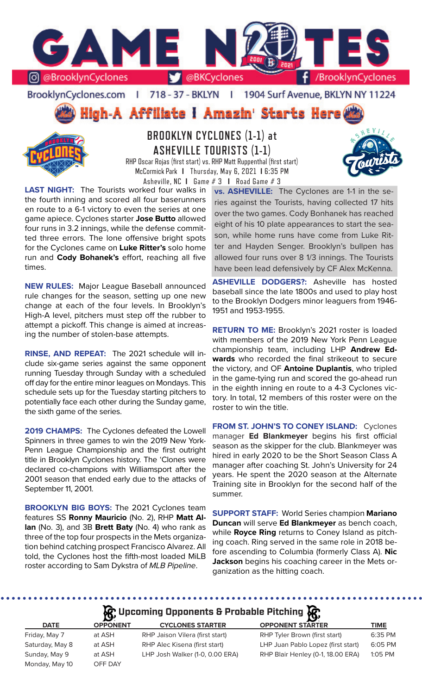

### BrooklynCyclones.com | 718 - 37 - BKLYN | 1904 Surf Avenue, BKLYN NY 11224





# **BROOKLYN CYCLONES (1-1) at ASHEVILLE TOURISTS (1-1)**

RHP Oscar Rojas (first start) vs. RHP Matt Ruppenthal (first start) McCormick Park **I** Thursday, May 6, 2021 **I** 6:35 PM Asheville, NC **I** Game # 3 **I** Road Game # 3

**LAST NIGHT:** The Tourists worked four walks in the fourth inning and scored all four baserunners en route to a 6-1 victory to even the series at one game apiece. Cyclones starter **Jose Butto** allowed four runs in 3.2 innings, while the defense committed three errors. The lone offensive bright spots for the Cyclones came on **Luke Ritter's** solo home run and **Cody Bohanek's** effort, reaching all five times.

**NEW RULES:** Major League Baseball announced rule changes for the season, setting up one new change at each of the four levels. In Brooklyn's High-A level, pitchers must step off the rubber to attempt a pickoff. This change is aimed at increasing the number of stolen-base attempts.

**RINSE, AND REPEAT:** The 2021 schedule will include six-game series against the same opponent running Tuesday through Sunday with a scheduled off day for the entire minor leagues on Mondays. This schedule sets up for the Tuesday starting pitchers to potentially face each other during the Sunday game, the sixth game of the series.

**2019 CHAMPS:** The Cyclones defeated the Lowell Spinners in three games to win the 2019 New York-Penn League Championship and the first outright title in Brooklyn Cyclones history. The 'Clones were declared co-champions with Williamsport after the 2001 season that ended early due to the attacks of September 11, 2001.

**BROOKLYN BIG BOYS:** The 2021 Cyclones team features SS **Ronny Mauricio** (No. 2), RHP **Matt Allan** (No. 3), and 3B **Brett Baty** (No. 4) who rank as three of the top four prospects in the Mets organization behind catching prospect Francisco Alvarez. All told, the Cyclones host the fifth-most loaded MiLB roster according to Sam Dykstra of *MLB Pipeline*.

**vs. ASHEVILLE:** The Cyclones are 1-1 in the series against the Tourists, having collected 17 hits over the two games. Cody Bonhanek has reached eight of his 10 plate appearances to start the season, while home runs have come from Luke Ritter and Hayden Senger. Brooklyn's bullpen has allowed four runs over 8 1/3 innings. The Tourists have been lead defensively by CF Alex McKenna.

**ASHEVILLE DODGERS?:** Asheville has hosted baseball since the late 1800s and used to play host to the Brooklyn Dodgers minor leaguers from 1946- 1951 and 1953-1955.

**RETURN TO ME:** Brooklyn's 2021 roster is loaded with members of the 2019 New York Penn League championship team, including LHP **Andrew Edwards** who recorded the final strikeout to secure the victory, and OF **Antoine Duplantis**, who tripled in the game-tying run and scored the go-ahead run in the eighth inning en route to a 4-3 Cyclones victory. In total, 12 members of this roster were on the roster to win the title.

**FROM ST. JOHN'S TO CONEY ISLAND:** Cyclones manager **Ed Blankmeyer** begins his first official season as the skipper for the club. Blankmeyer was hired in early 2020 to be the Short Season Class A manager after coaching St. John's University for 24 years. He spent the 2020 season at the Alternate Training site in Brooklyn for the second half of the summer.

**SUPPORT STAFF:** World Series champion **Mariano Duncan** will serve **Ed Blankmeyer** as bench coach, while **Royce Ring** returns to Coney Island as pitching coach. Ring served in the same role in 2018 before ascending to Columbia (formerly Class A). **Nic Jackson** begins his coaching career in the Mets organization as the hitting coach.

## **Upcoming Opponents & Probable Pitching**

. . . . . . . . .

|                 | $\mathbf{B}$    | --                              | - 19 <sup>3</sup>                  |         |
|-----------------|-----------------|---------------------------------|------------------------------------|---------|
| <b>DATE</b>     | <b>OPPONENT</b> | <b>CYCLONES STARTER</b>         | <b>OPPONENT STARTER</b>            | TIME    |
| Friday, May 7   | at ASH          | RHP Jaison Vilera (first start) | RHP Tyler Brown (first start)      | 6:35 PM |
| Saturday, May 8 | at ASH          | RHP Alec Kisena (first start)   | LHP Juan Pablo Lopez (first start) | 6:05 PM |
| Sunday, May 9   | at ASH          | LHP Josh Walker (1-0, 0.00 ERA) | RHP Blair Henley (0-1, 18.00 ERA)  | 1:05 PM |
| Monday, May 10  | OFF DAY         |                                 |                                    |         |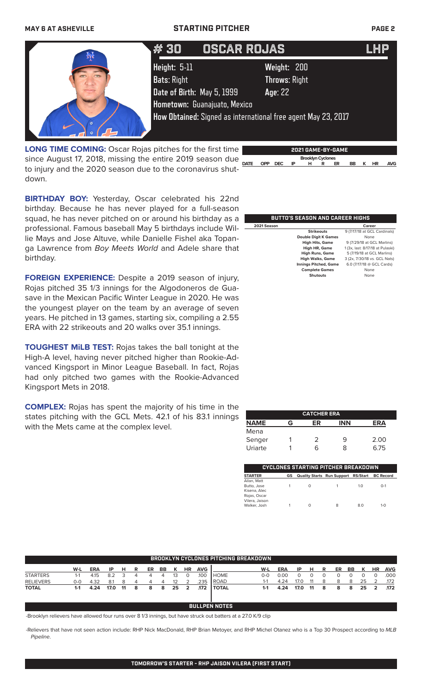# **MAY 6 AT ASHEVILLE STARTING PITCHER PAGE 2** # 25 # 25 JOSE CARLOS MEDINA JOSE CARLOS MEDINA LHP LHP # 30 OSCAR ROJAS LHP **Height:** 5-11 **Weight:** 200 **Bats**: Right **Throws**: Right **Date of Birth:** May 5, 1999 **Age**: 22 **Hometown:** Guanajuato, Mexico **How Obtained:** Signed as international free agent May 23, 2017

**DATE DPP DEC IPPP DEC IPPP Brooklyn Cyclones**<br>
<u>DATE</u> OPP DEC IPP H R ER BB K HR AVG</u> **LONG TIME COMING:** Oscar Rojas pitches for the first time to injury and the 2020 season due to the coronavirus shutdown.



**BIRTHDAY BOY:** Yesterday, Oscar celebrated his 22nd birthday. Because he has never played for a full-season squad, he has never pitched on or around his birthday as a professional. Famous baseball May 5 birthdays include Willie Mays and Jose Altuve, while Danielle Fishel aka Topanga Lawrence from *Boy Meets World* and Adele share that birthday.

**FOREIGN EXPERIENCE:** Despite a 2019 season of injury, Rojas pitched 35 1/3 innings for the Algodoneros de Guasave in the Mexican Pacific Winter League in 2020. He was the youngest player on the team by an average of seven years. He pitched in 13 games, starting six, compiling a 2.55 ERA with 22 strikeouts and 20 walks over 35.1 innings.

**TOUGHEST MiLB TEST:** Rojas takes the ball tonight at the High-A level, having never pitched higher than Rookie-Advanced Kingsport in Minor League Baseball. In fact, Rojas had only pitched two games with the Rookie-Advanced Kingsport Mets in 2018.

**COMPLEX:** Rojas has spent the majority of his time in the states pitching with the GCL Mets. 42.1 of his 83.1 innings with the Mets came at the complex level.

| 2021 Season |                                        | Career                                              |
|-------------|----------------------------------------|-----------------------------------------------------|
|             | <b>Strikeouts</b>                      | 9 (7/17/18 at GCL Cardinals)                        |
|             | <b>Double Digit K Games</b>            | None                                                |
|             | <b>High Hits, Game</b>                 | 9 (7/29/18 at GCL Marlins)                          |
|             | <b>High HR, Game</b>                   | 1 (3x, last: 8/17/18 at Pulaski)                    |
|             | <b>High Runs, Game</b>                 | 5 (7/19/18 at GCL Marlins)                          |
|             | <b>High Walks, Game</b>                | 3 (2x, 7/30/18 vs. GCL Nats)                        |
|             | the order of a Plant to the Company of | $C \bigcap (7M7M0 \bigcap C)$ $C \bigcap (C \cup C$ |

 **Complete Games** None  **Shutouts** None

**BUTTO'S SEASON AND CAREER HIGHS**

ulaski)<br><sub>I'</sub>lins)<br>. Nats) **Is Pitched, Game** 6.0 (7/17/18 @ GCL Cards)<br> **Innings Pitches** Mone<br> **Shutouts** None

|             |   | <b>CATCHER ERA</b> |            |      |
|-------------|---|--------------------|------------|------|
| <b>NAME</b> | G | ER                 | <b>INN</b> | ERA  |
| Mena        |   |                    |            |      |
| Senger      |   | 2                  | 9          | 2.00 |
| Uriarte     |   | 6                  | 8          | 6.75 |

| 'CYCLONES STARTING PITCHER BREAKDOWN                       |    |                                               |   |     |         |  |  |  |
|------------------------------------------------------------|----|-----------------------------------------------|---|-----|---------|--|--|--|
| <b>STARTER</b>                                             | GS | Quality Starts Run Support RS/Start BC Record |   |     |         |  |  |  |
| Allan, Matt<br>Butto, Jose<br>Kisena, Alec<br>Rojas, Oscar |    | $\Omega$                                      |   | 1.0 | $O-1$   |  |  |  |
| Vilera, Jaison<br>Walker, Josh                             |    | Ω                                             | 8 | 8.0 | $1 - 0$ |  |  |  |

| BROOKLYN CYCLONES PITCHING BREAKDOWN. |     |            |      |     |   |    |                |    |           |            |              |         |            |      |    |   |    |    |    |           |            |
|---------------------------------------|-----|------------|------|-----|---|----|----------------|----|-----------|------------|--------------|---------|------------|------|----|---|----|----|----|-----------|------------|
|                                       | W-L | <b>ERA</b> | ΙP   | н   | R | ER | ВB             |    | <b>HR</b> | <b>AVG</b> |              | W-L     | <b>ERA</b> | ΙP   | н  | R | ER | BB | ĸ  | <b>HR</b> | <b>AVG</b> |
| <b>STARTERS</b>                       | 1-1 | 4.15       | 8.2  |     |   |    | 4              | 13 |           | .100       | <b>HOME</b>  | 0-0     | 0.00       |      |    |   |    |    |    |           | .000       |
| <b>RELIEVERS</b>                      | 0-0 | 4.32       | 8.1  |     |   |    | $\overline{4}$ | 12 |           | .235       | <b>ROAD</b>  | 1-1     | 4.24       |      |    | 8 | 8  | 8  | 25 |           | .172       |
| <b>TOTAL</b>                          | 1-1 | 4.24       | 17.0 | -11 | 8 | 8  | 8              | 25 |           | .172       | <b>TOTAL</b> | $1 - 1$ | 4.24       | 17.0 | 11 | 8 | 8  | 8  | 25 | 2         | .172       |
|                                       |     |            |      |     |   |    |                |    |           | BUL        | LPEN NOTES   |         |            |      |    |   |    |    |    |           |            |

-Brooklyn relievers have allowed four runs over 8 1/3 innings, but have struck out batters at a 27.0 K/9 clip

-Relievers that have not seen action include: RHP Nick MacDonald, RHP Brian Metoyer, and RHP Michel Otanez who is a Top 30 Prospect according to *MLB Pipeline*.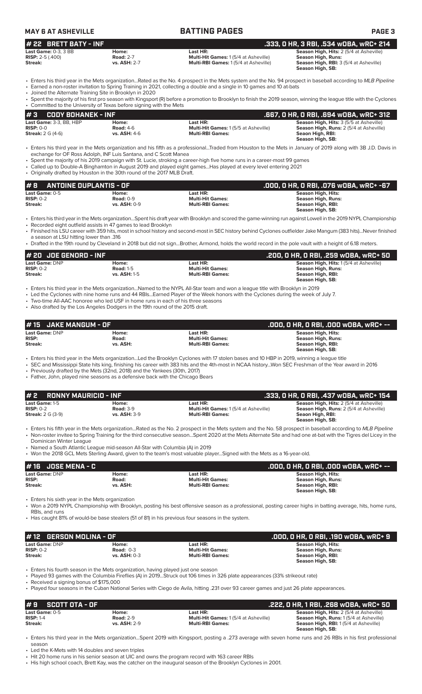| <b>MAY 6 AT ASHEVILLE</b>                                           |                                                  | <b>BATTING PAGES</b>                                                                                                                                                                                                                                                                     | <b>PAGE 3</b>                                                                                                               |
|---------------------------------------------------------------------|--------------------------------------------------|------------------------------------------------------------------------------------------------------------------------------------------------------------------------------------------------------------------------------------------------------------------------------------------|-----------------------------------------------------------------------------------------------------------------------------|
| # 22 BRETT BATY - INF                                               |                                                  |                                                                                                                                                                                                                                                                                          | .333, 0 HR, 3 RBI, .534 wOBA, wRC+ 214                                                                                      |
| <b>Last Game: 0-3. 3 BB</b><br><b>RISP:</b> $2-5$ (.400)<br>Streak: | Home:<br><b>Road: 2-7</b><br><b>vs. ASH: 2-7</b> | Last HR:<br>Multi-Hit Games: 1(5/4 at Asheville)<br>Multi-RBI Games: 1(5/4 at Asheville)                                                                                                                                                                                                 | Season High, Hits: 2 (5/4 at Asheville)<br>Season High, Runs:<br>Season High, RBI: 3 (5/4 at Asheville)<br>Season High, SB: |
|                                                                     |                                                  | • Enters his third year in the Mets organizationRated as the No. 4 prospect in the Mets system and the No. 94 prospect in baseball according to MLB Pipeline<br>• Earned a non-roster invitation to Spring Training in 2021, collecting a double and a single in 10 games and 10 at-bats |                                                                                                                             |

• Joined the Alternate Training Site in Brooklyn in 2020

Spent the majority of his first pro season with Kingsport (R) before a promotion to Brooklyn to finish the 2019 season, winning the league title with the Cyclones

| • Committed to the University of Texas before signing with the Mets |                     |                                             |                                                |
|---------------------------------------------------------------------|---------------------|---------------------------------------------|------------------------------------------------|
| $\#3$ CODY BOHANEK - INF                                            |                     |                                             | .667. O HR. O RBI. .694 wOBA. wRC+ 312         |
| Last Game: 3-3, BB, HBP                                             | Home:               | Last HR:                                    | <b>Season High, Hits: 3 (5/5 at Asheville)</b> |
| $RISP: 0-0$                                                         | <b>Road: 4-6</b>    | <b>Multi-Hit Games: 1(5/5 at Asheville)</b> | <b>Season High, Runs:</b> 2 (5/4 at Asheville) |
| <b>Streak:</b> $2 G (4-6)$                                          | <b>vs. ASH: 4-6</b> | <b>Multi-RBI Games:</b>                     | Seaon High, RBI:                               |
|                                                                     |                     |                                             | Season High, SB:                               |

- Enters his third year in the Mets organization and his fifth as a professional...Traded from Houston to the Mets in January of 2019 along with 3B J.D. Davis in exchange for OF Ross Adolph, INF Luis Santana, and C Scott Manea
- Spent the majority of his 2019 campaign with St. Lucie, stroking a career-high five home runs in a career-most 99 games
- Called up to Double-A Binghamton in August 2019 and played eight games...Has played at every level entering 2021 • Originally drafted by Houston in the 30th round of the 2017 MLB Draft.

| #8<br><b>ANTOINE DUPLANTIS - OF</b> |                     | . .000, 0 HR, 0 RBI, .076 w0BA, wRC+ -67 <sup>1</sup> |                    |
|-------------------------------------|---------------------|-------------------------------------------------------|--------------------|
| Last Game: 0-5                      | Home:               | Last HR:                                              | Season High, Hits: |
| $RISP: 0-2$                         | Road: $0-9$         | <b>Multi-Hit Games:</b>                               | Season High, Runs: |
| Streak:                             | <b>vs. ASH: 0-9</b> | <b>Multi-RBI Games:</b>                               | Season High, RBI:  |
|                                     |                     |                                                       | Season High, SB:   |

• Enters his third year in the Mets organization...Spent his draft year with Brooklyn and scored the game-winning run against Lowell in the 2019 NYPL Championship • Recorded eight outfield assists in 47 games to lead Brooklyn

- 
- Finished his LSU career with 359 hits, most in school history and second-most in SEC history behind Cyclones outfielder Jake Mangum (383 hits)...Never finished a season at LSU hitting lower than .316
- Drafted in the 19th round by Cleveland in 2018 but did not sign...Brother, Armond, holds the world record in the pole vault with a height of 6.18 meters.

| # 20  JOE GENORD - INF |                     |                         | .200, 0 HR, 0 RBI, .259 w0BA, wRC+ 50         |
|------------------------|---------------------|-------------------------|-----------------------------------------------|
| Last Game: DNP         | Home:               | Last HR:                | <b>Season High, Hits: 1(5/4 at Asheville)</b> |
| $RISP: 0-2$            | <b>Road: 1-5</b>    | <b>Multi-Hit Games:</b> | Season High, Runs:                            |
| Streak:                | <b>vs. ASH: 1-5</b> | <b>Multi-RBI Games:</b> | Season High, RBI:                             |
|                        |                     |                         | Season High, SB:                              |

• Enters his third year in the Mets organization...Named to the NYPL All-Star team and won a league title with Brooklyn in 2019

• Led the Cyclones with nine home runs and 44 RBIs...Earned Player of the Week honors with the Cyclones during the week of July 7.

- Two-time All-AAC honoree who led USF in home runs in each of his three seasons
- Also drafted by the Los Angeles Dodgers in the 19th round of the 2015 draft.

| #15 JAKE MANGUM - OF |          |                         | .000, 0 HR, 0 RBI, .000 w0BA, wRC+ -- |
|----------------------|----------|-------------------------|---------------------------------------|
| Last Game: DNP       | Home:    | Last HR:                | Season High, Hits:                    |
| <b>RISP:</b>         | Road:    | <b>Multi-Hit Games:</b> | Season High, Runs:                    |
| Streak:              | vs. ASH: | <b>Multi-RBI Games:</b> | Season High, RBI:                     |
|                      |          |                         | Season High, SB:                      |

• Enters his third year in the Mets organization...Led the Brooklyn Cyclones with 17 stolen bases and 10 HBP in 2019, winning a league title

- SEC and Mississippi State hits king, finishing his career with 383 hits and the 4th-most in NCAA history...Won SEC Freshman of the Year award in 2016 • Previously drafted by the Mets (32nd, 2018) and the Yankees (30th, 2017)
- Father, John, played nine seasons as a defensive back with the Chicago Bears

| #2<br>RONNY MAURICIO - INF    |                           |                                                         | . .333, O HR, O RBI, .437 wOBA, wRC+ 154 '                                                |
|-------------------------------|---------------------------|---------------------------------------------------------|-------------------------------------------------------------------------------------------|
| Last Game: 1-5<br>$RISP: 0-2$ | Home:<br><b>Road: 3-9</b> | Last HR:<br><b>Multi-Hit Games: 1(5/4 at Asheville)</b> | Season High, Hits: 2 (5/4 at Asheville)<br><b>Season High, Runs:</b> 2 (5/4 at Asheville) |
| <b>Streak:</b> 2 G (3-9)      | <b>vs. ASH: 3-9</b>       | <b>Multi-RBI Games:</b>                                 | Seaon High, RBI:<br>Season High, SB:                                                      |

- Enters his fifth year in the Mets organization...Rated as the No. 2 prospect in the Mets system and the No. 58 prospect in baseball according to *MLB Pipeline* • Non-roster invitee to Spring Training for the third consecutive season...Spent 2020 at the Mets Alternate Site and had one at-bat with the Tigres del Licey in the Dominican Winter League
- Named a South Atlantic League mid-season All-Star with Columbia (A) in 2019
- Won the 2018 GCL Mets Sterling Award, given to the team's most valuable player...Signed with the Mets as a 16-year-old.

|                       |          |                         | .000, O HR, O RBI, .000 wOBA, wRC+ -- |
|-----------------------|----------|-------------------------|---------------------------------------|
| <b>Last Game: DNP</b> | Home:    | Last HR:                | Season High, Hits:                    |
| <b>RISP:</b>          | Road:    | <b>Multi-Hit Games:</b> | Season High, Runs:                    |
| Streak:               | vs. ASH: | <b>Multi-RBI Games:</b> | Season High, RBI:                     |
|                       |          |                         | Season High, SB:                      |

Enters his sixth year in the Mets organization

• Won a 2019 NYPL Championship with Brooklyn, posting his best offensive season as a professional, posting career highs in batting average, hits, home runs, RBIs, and runs

• Has caught 81% of would-be base stealers (51 of 81) in his previous four seasons in the system.

|                               |                         | . .000, 0 HR, 0 RBI, .190 w0BA, wRC+ 9 ' |
|-------------------------------|-------------------------|------------------------------------------|
| Home:                         | Last HR:                | Season High, Hits:                       |
| Road: $0-3$                   | <b>Multi-Hit Games:</b> | Season High, Runs:                       |
| <b>vs. ASH: 0-3</b>           | <b>Multi-RBI Games:</b> | Season High, RBI:                        |
|                               |                         | Season High, SB:                         |
| Last Game: DNP<br>$RISP: 0-2$ | #12 GERSON MOLINA - OF  |                                          |

• Enters his fourth season in the Mets organization, having played just one season

• Played 93 games with the Columbia Fireflies (A) in 2019...Struck out 106 times in 326 plate appearances (33% strikeout rate)

• Received a signing bonus of \$175,000

• Played four seasons in the Cuban National Series with Ciego de Avila, hitting .231 over 93 career games and just 26 plate appearances.

| $# 9$ SCOTT OTA - OF |                  |                                             | .222, 0 HR, 1 RBI, .268 w0BA, wRC+ 50          |
|----------------------|------------------|---------------------------------------------|------------------------------------------------|
| Last Game: 0-5       | Home:            | Last HR:                                    | <b>Season High, Hits: 2 (5/4 at Asheville)</b> |
| $RISP: 1-4$          | <b>Road: 2-9</b> | <b>Multi-Hit Games: 1(5/4 at Asheville)</b> | <b>Season High, Runs: 1 (5/4 at Asheville)</b> |
| Streak:              | vs. ASH: 2-9     | <b>Multi-RBI Games:</b>                     | <b>Season High, RBI:</b> 1(5/4 at Asheville)   |
|                      |                  |                                             | Season High, SB:                               |

• Enters his third year in the Mets organization...Spent 2019 with Kingsport, posting a .273 average with seven home runs and 26 RBIs in his first professional season

Led the K-Mets with 14 doubles and seven triples

• Hit 20 home runs in his senior season at UIC and owns the program record with 163 career RBIs

• His high school coach, Brett Kay, was the catcher on the inaugural season of the Brooklyn Cyclones in 2001.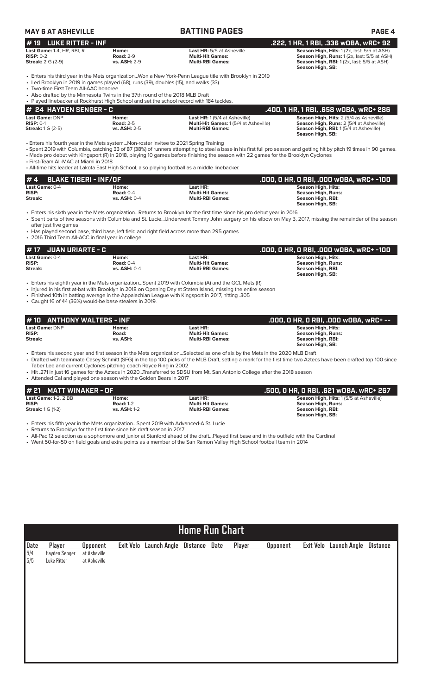| <b>MAY 6 AT ASHEVILLE</b>                                                                                                                                                                                      |                                                  | <b>BATTING PAGES</b>                                                                                                                                                                                                                                                                                                                                                                                                      | <b>PAGE 4</b>                                                                                                                                                |
|----------------------------------------------------------------------------------------------------------------------------------------------------------------------------------------------------------------|--------------------------------------------------|---------------------------------------------------------------------------------------------------------------------------------------------------------------------------------------------------------------------------------------------------------------------------------------------------------------------------------------------------------------------------------------------------------------------------|--------------------------------------------------------------------------------------------------------------------------------------------------------------|
| <b>LUKE RITTER - INF</b><br>#19                                                                                                                                                                                |                                                  |                                                                                                                                                                                                                                                                                                                                                                                                                           | .222, 1 HR, 1 RBI, .336 wOBA, wRC+ 92                                                                                                                        |
| Last Game: 1-4, HR, RBI, R<br>$RISP: 0-2$<br><b>Streak: 2 G (2-9)</b>                                                                                                                                          | Home:<br><b>Road: 2-9</b><br>vs. ASH: 2-9        | Last HR: 5/5 at Asheville<br><b>Multi-Hit Games:</b><br><b>Multi-RBI Games:</b>                                                                                                                                                                                                                                                                                                                                           | Season High, Hits: 1 (2x, last: 5/5 at ASH)<br>Season High, Runs: 1 (2x, last: 5/5 at ASH)<br>Season High, RBI: 1 (2x, last: 5/5 at ASH)<br>Season High, SB: |
| • Led Brooklyn in 2019 in games played (68), runs (39), doubles (15), and walks (33)<br>• Two-time First Team All-AAC honoree<br>• Also drafted by the Minnesota Twins in the 37th round of the 2018 MLB Draft |                                                  | • Enters his third year in the Mets organizationWon a New York-Penn League title with Brooklyn in 2019                                                                                                                                                                                                                                                                                                                    |                                                                                                                                                              |
| . Played linebacker at Rockhurst High School and set the school record with 184 tackles.                                                                                                                       |                                                  |                                                                                                                                                                                                                                                                                                                                                                                                                           |                                                                                                                                                              |
| <b>24 HAYDEN SENGER - C</b><br>Last Game: DNP                                                                                                                                                                  | Home:                                            | Last HR: 1 (5/4 at Asheville)                                                                                                                                                                                                                                                                                                                                                                                             | .400, 1 HR, 1 RBI, .658 wOBA, wRC+ 286<br>Season High, Hits: 2 (5/4 as Asheville)                                                                            |
| $RISP: 0-1$<br><b>Streak:</b> 1 G (2-5)                                                                                                                                                                        | <b>Road: 2-5</b><br>vs. ASH: 2-5                 | Multi-Hit Games: 1 (5/4 at Asheville)<br><b>Multi-RBI Games:</b>                                                                                                                                                                                                                                                                                                                                                          | Season High, Runs: 2 (5/4 at Asheville)<br>Season High, RBI: 1 (5/4 at Asheville)<br>Season High, SB:                                                        |
| • Enters his fourth year in the Mets systemNon-roster invitee to 2021 Spring Training<br>• First-Team All-MAC at Miami in 2018                                                                                 |                                                  | • Spent 2019 with Columbia, catching 33 of 87 (38%) of runners attempting to steal a base in his first full pro season and getting hit by pitch 19 times in 90 games.<br>• Made pro debut with Kingsport (R) in 2018, playing 10 games before finishing the season with 22 games for the Brooklyn Cyclones<br>. All-time hits leader at Lakota East High School, also playing football as a middle linebacker.            |                                                                                                                                                              |
| <b>BLAKE TIBERI - INF/OF</b><br>#4                                                                                                                                                                             |                                                  |                                                                                                                                                                                                                                                                                                                                                                                                                           | .000, 0 HR, 0 RBI, .000 w0BA, wRC+ -100                                                                                                                      |
| Last Game: 0-4<br><b>RISP:</b><br><b>Streak:</b>                                                                                                                                                               | Home:<br><b>Road: 0-4</b><br><b>vs. ASH: 0-4</b> | Last HR:<br><b>Multi-Hit Games:</b><br><b>Multi-RBI Games:</b>                                                                                                                                                                                                                                                                                                                                                            | <b>Season High, Hits:</b><br><b>Season High, Runs:</b><br>Season High, RBI:<br>Season High, SB:                                                              |
| after just five games<br>• 2016 Third Team All-ACC in final year in college.                                                                                                                                   |                                                  | • Enters his sixth year in the Mets organizationReturns to Brooklyn for the first time since his pro debut year in 2016<br>· Spent parts of two seasons with Columbia and St. LucieUnderwent Tommy John surgery on his elbow on May 3, 2017, missing the remainder of the season<br>• Has played second base, third base, left field and right field across more than 295 games                                           |                                                                                                                                                              |
| <b>JUAN URIARTE - C</b><br># 17                                                                                                                                                                                |                                                  |                                                                                                                                                                                                                                                                                                                                                                                                                           | .000, 0 HR, 0 RBI, .000 w0BA, wRC+ -100                                                                                                                      |
| Last Game: 0-4<br><b>RISP:</b><br><b>Streak:</b>                                                                                                                                                               | Home:<br><b>Road: 0-4</b><br><b>vs. ASH: 0-4</b> | Last HR:<br><b>Multi-Hit Games:</b><br><b>Multi-RBI Games:</b>                                                                                                                                                                                                                                                                                                                                                            | <b>Season High, Hits:</b><br><b>Season High, Runs:</b><br>Season High, RBI:<br>Season High, SB:                                                              |
| • Caught 16 of 44 (36%) would-be base stealers in 2019.                                                                                                                                                        |                                                  | Enters his eighth year in the Mets organizationSpent 2019 with Columbia (A) and the GCL Mets (R)<br>• Injured in his first at-bat with Brooklyn in 2018 on Opening Day at Staten Island, missing the entire season<br>. Finished 10th in batting average in the Appalachian League with Kingsport in 2017, hitting .305                                                                                                   |                                                                                                                                                              |
| <b>ANTHONY WALTERS - INF</b><br># 10                                                                                                                                                                           |                                                  |                                                                                                                                                                                                                                                                                                                                                                                                                           | .000, O HR, O RBI, .000 WOBA, WRC+ --                                                                                                                        |
| <b>Last Game: DNP</b><br><b>RISP:</b><br><b>Streak:</b>                                                                                                                                                        | Home:<br>Road:<br>vs. ASH:                       | Last HR:<br><b>Multi-Hit Games:</b><br><b>Multi-RBI Games:</b>                                                                                                                                                                                                                                                                                                                                                            | Season High, Hits:<br><b>Season High, Runs:</b><br>Season High, RBI:<br>Season High, SB:                                                                     |
| Taber Lee and current Cyclones pitching coach Royce Ring in 2002<br>• Attended Cal and played one season with the Golden Bears in 2017                                                                         |                                                  | • Enters his second year and first season in the Mets organizationSelected as one of six by the Mets in the 2020 MLB Draft<br>• Drafted with teammate Casey Schmitt (SFG) in the top 100 picks of the MLB Draft, setting a mark for the first time two Aztecs have been drafted top 100 since<br>• Hit .271 in just 16 games for the Aztecs in 2020Transferred to SDSU from Mt. San Antonio College after the 2018 season |                                                                                                                                                              |
| <b>MATT WINAKER - OF</b><br># 21                                                                                                                                                                               |                                                  |                                                                                                                                                                                                                                                                                                                                                                                                                           | .500, 0 HR, 0 RBI, .621 w0BA, wRC+ 267                                                                                                                       |
| Last Game: 1-2, 2 BB<br><b>RISP:</b><br><b>Streak:</b> 1 G (1-2)                                                                                                                                               | Home:<br><b>Road: 1-2</b><br>vs. ASH: 1-2        | Last HR:<br><b>Multi-Hit Games:</b><br><b>Multi-RBI Games:</b>                                                                                                                                                                                                                                                                                                                                                            | Season High, Hits: 1 (5/5 at Asheville)<br><b>Season High, Runs:</b><br>Season High, RBI:<br>Season High, SB:                                                |
| • Enters his fifth year in the Mets organizationSpent 2019 with Advanced-A St. Lucie<br>• Returns to Brooklyn for the first time since his draft season in 2017                                                |                                                  | • All-Pac 12 selection as a sophomore and junior at Stanford ahead of the draftPlayed first base and in the outfield with the Cardinal<br>• Went 50-for-50 on field goals and extra points as a member of the San Ramon Valley High School football team in 2014                                                                                                                                                          |                                                                                                                                                              |
|                                                                                                                                                                                                                |                                                  |                                                                                                                                                                                                                                                                                                                                                                                                                           |                                                                                                                                                              |

| $\begin{array}{ l} \underline{\text{Date}} \\ 5/4 \end{array}$ | Player        | <b>Opponent</b> | Exit Velo Launch Angle | Distance | <b>Date</b> | <b>Player</b> | <b>Opponent</b> | Exit Velo | <b>Launch Angle</b> | <b>Distance</b> |
|----------------------------------------------------------------|---------------|-----------------|------------------------|----------|-------------|---------------|-----------------|-----------|---------------------|-----------------|
|                                                                | Hayden Senger | at Asheville    |                        |          |             |               |                 |           |                     |                 |
| 5/5                                                            | Luke Ritter   | at Asheville    |                        |          |             |               |                 |           |                     |                 |
|                                                                |               |                 |                        |          |             |               |                 |           |                     |                 |
|                                                                |               |                 |                        |          |             |               |                 |           |                     |                 |
|                                                                |               |                 |                        |          |             |               |                 |           |                     |                 |
|                                                                |               |                 |                        |          |             |               |                 |           |                     |                 |
|                                                                |               |                 |                        |          |             |               |                 |           |                     |                 |
|                                                                |               |                 |                        |          |             |               |                 |           |                     |                 |
|                                                                |               |                 |                        |          |             |               |                 |           |                     |                 |
|                                                                |               |                 |                        |          |             |               |                 |           |                     |                 |
|                                                                |               |                 |                        |          |             |               |                 |           |                     |                 |
|                                                                |               |                 |                        |          |             |               |                 |           |                     |                 |
|                                                                |               |                 |                        |          |             |               |                 |           |                     |                 |
|                                                                |               |                 |                        |          |             |               |                 |           |                     |                 |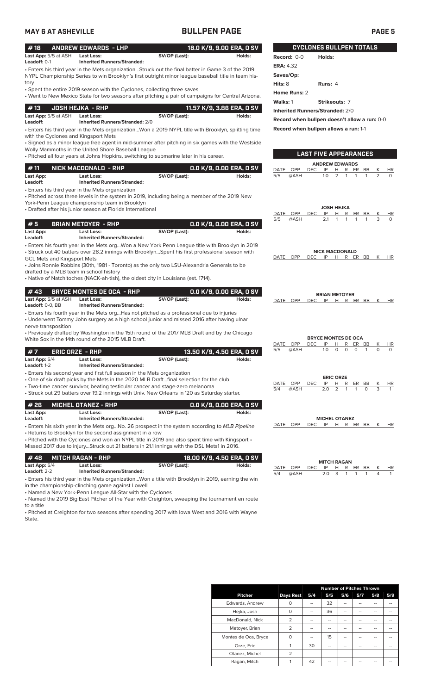**Saves/Op:** 

**Home Runs:** 2

**Hits:** 8 **Runs:** 4

**Walks:** 1 **Strikeouts:** 7 **Inherited Runners/Stranded:** 2/0

**Record when bullpen doesn't allow a run:** 0-0

**LAST FIVE APPEARANCES**

**ANDREW EDWARDS**<br>DEC IP H R ER DATE OPP DEC IP H R ER BB K HR 5/5 @ASH 1.0 2 1 1 1 2 0

**JOSH HEJKA**

**Record when bullpen allows a run:** 1-1

| #18                         | ANDREW EDWARDS - LHP               |               | 18.0 K/9. 9.00 ERA. 0 SV |               |        |
|-----------------------------|------------------------------------|---------------|--------------------------|---------------|--------|
| <b>Last App:</b> 5/5 at ASH | Last Loss:                         | SV/OP (Last): | Holds:                   | Record: $0-0$ | Holds: |
| Leadoff: $0-1$              | <b>Inherited Runners/Stranded:</b> |               |                          | ERA: 4.32     |        |

• Enters his third year in the Mets organization...Struck out the final batter in Game 3 of the 2019 NYPL Championship Series to win Brooklyn's first outright minor league baseball title in team history

• Spent the entire 2019 season with the Cyclones, collecting three saves

• Went to New Mexico State for two seasons after pitching a pair of campaigns for Central Arizona.

|                                         |                                                      |               | 11.57 K/9, 3.86 ERA, O SV ' |
|-----------------------------------------|------------------------------------------------------|---------------|-----------------------------|
| <b>Last App:</b> 5/5 at ASH<br>Leadoff: | Last Loss:<br><b>Inherited Runners/Stranded: 2/0</b> | SV/OP (Last): | Holds:                      |

• Enters his third year in the Mets organization...Won a 2019 NYPL title with Brooklyn, splitting time with the Cyclones and Kingsport Mets

• Signed as a minor league free agent in mid-summer after pitching in six games with the Westside Wolly Mammoths in the United Shore Baseball League

• Pitched all four years at Johns Hopkins, switching to submarine later in his career.

| #11       | NICK MACDONALD  - RHP              |               | 0.0 K/9, 0.00 ERA, 0 SV |
|-----------|------------------------------------|---------------|-------------------------|
| Last App: | <b>Last Loss:</b>                  | SV/OP (Last): | Holds:                  |
| Leadoff:  | <b>Inherited Runners/Stranded:</b> |               |                         |
|           |                                    |               |                         |

• Enters his third year in the Mets organization

• Pitched across three levels in the system in 2019, including being a member of the 2019 New York-Penn League championship team in Brooklyn

• Drafted after his junior season at Florida International

|                       |                                                                                                                                                     |               |                           | DATE | <b>OPP</b> | <b>DEC</b>                 | IP                    | н                     | R        | ER        | BB        | Κ | HR        |
|-----------------------|-----------------------------------------------------------------------------------------------------------------------------------------------------|---------------|---------------------------|------|------------|----------------------------|-----------------------|-----------------------|----------|-----------|-----------|---|-----------|
| #5                    | <b>BRIAN METOYER - RHP</b>                                                                                                                          |               | 0.0 K/9, 0.00 ERA, 0 SV   | 5/5  | @ASH       |                            | 2.1                   |                       |          |           |           | 3 | $\Omega$  |
| Last App:<br>Leadoff: | Last Loss:<br><b>Inherited Runners/Stranded:</b>                                                                                                    | SV/OP (Last): | Holds:                    |      |            |                            |                       |                       |          |           |           |   |           |
|                       | • Enters his fourth year in the Mets orgWon a New York Penn League title with Brooklyn in 2019                                                      |               |                           |      |            |                            |                       |                       |          |           |           |   |           |
|                       | • Struck out 40 batters over 28.2 innings with BrooklynSpent his first professional season with                                                     |               |                           |      |            |                            | <b>NICK MACDONALD</b> |                       |          |           |           |   |           |
|                       | <b>GCL Mets and Kingsport Mets</b>                                                                                                                  |               |                           | DATE | OPP        | <b>DEC</b>                 | IP                    |                       |          | H R ER BB |           | Κ | HR        |
|                       | • Joins Ronnie Robbins (30th, 1981 - Toronto) as the only two LSU-Alexandria Generals to be                                                         |               |                           |      |            |                            |                       |                       |          |           |           |   |           |
|                       | drafted by a MLB team in school history                                                                                                             |               |                           |      |            |                            |                       |                       |          |           |           |   |           |
|                       | • Native of Natchitoches (NACK-ah-tish), the oldest city in Louisiana (est. 1714).                                                                  |               |                           |      |            |                            |                       |                       |          |           |           |   |           |
| #43                   | <b>BRYCE MONTES DE OCA - RHP</b>                                                                                                                    |               | 0.0 K/9, 0.00 ERA, 0 SV   |      |            |                            | <b>BRIAN METOYER</b>  |                       |          |           |           |   |           |
| Last App: 5/5 at ASH  | <b>Last Loss:</b>                                                                                                                                   | SV/OP (Last): | Holds:                    | DATE | OPP        | DEC.                       | IP                    |                       |          | H R ER BB |           | Κ | <b>HR</b> |
| Leadoff: 0-0, BB      | <b>Inherited Runners/Stranded:</b>                                                                                                                  |               |                           |      |            |                            |                       |                       |          |           |           |   |           |
|                       | • Enters his fourth year in the Mets orgHas not pitched as a professional due to injuries                                                           |               |                           |      |            |                            |                       |                       |          |           |           |   |           |
|                       | • Underwent Tommy John surgery as a high school junior and missed 2016 after having ulnar                                                           |               |                           |      |            |                            |                       |                       |          |           |           |   |           |
| nerve transposition   |                                                                                                                                                     |               |                           |      |            |                            |                       |                       |          |           |           |   |           |
|                       | • Previously drafted by Washington in the 15th round of the 2017 MLB Draft and by the Chicago<br>White Sox in the 14th round of the 2015 MLB Draft. |               |                           |      |            | <b>BRYCE MONTES DE OCA</b> |                       |                       |          |           |           |   |           |
|                       |                                                                                                                                                     |               |                           | DATE | OPP        | <b>DEC</b>                 | IP                    | н                     | R        | ER        | <b>BB</b> | Κ | HR        |
| #7                    | <b>ERIC ORZE - RHP</b>                                                                                                                              |               | 13.50 K/9, 4.50 ERA, 0 SV | 5/5  | @ASH       |                            | 1.0                   | $\Omega$              | $\Omega$ | $\Omega$  | 1         | 0 | $\Omega$  |
| Last App: 5/4         | Last Loss:                                                                                                                                          | SV/OP (Last): | Holds:                    |      |            |                            |                       |                       |          |           |           |   |           |
| Leadoff: 1-2          | <b>Inherited Runners/Stranded:</b>                                                                                                                  |               |                           |      |            |                            |                       |                       |          |           |           |   |           |
|                       | • Enters his second year and first full season in the Mets organization                                                                             |               |                           |      |            |                            |                       |                       |          |           |           |   |           |
|                       | • One of six draft picks by the Mets in the 2020 MLB Draftfinal selection for the club                                                              |               |                           | DATE | <b>OPP</b> | <b>DEC</b>                 | IP                    | <b>ERIC ORZE</b><br>Н | R        | ER        | <b>BB</b> | Κ | HR        |
|                       | • Two-time cancer survivor, beating testicular cancer and stage-zero melanoma                                                                       |               |                           | 5/4  | @ASH       |                            | 2.0                   | $\mathcal{P}$         |          |           | $\Omega$  | 3 |           |
|                       | • Struck out 29 batters over 19.2 innings with Univ. New Orleans in '20 as Saturday starter.                                                        |               |                           |      |            |                            |                       |                       |          |           |           |   |           |
| #26                   | <b>MICHEL OTANEZ - RHP</b>                                                                                                                          |               | 0.0 K/9, 0.00 ERA, 0 SV   |      |            |                            |                       |                       |          |           |           |   |           |
| Last App:             | Last Loss:                                                                                                                                          | SV/OP (Last): | Holds:                    |      |            |                            |                       |                       |          |           |           |   |           |
| Leadoff:              | <b>Inherited Runners/Stranded:</b>                                                                                                                  |               |                           |      |            |                            | <b>MICHEL OTANEZ</b>  |                       |          |           |           |   |           |
|                       | • Enters his sixth year in the Mets orgNo. 26 prospect in the system according to MLB Pipeline                                                      |               |                           | DATE | OPP        | <b>DEC</b>                 | IP                    | Н                     |          | R ER BB   |           | Κ | <b>HR</b> |
|                       | • Returns to Brooklyn for the second assignment in a row                                                                                            |               |                           |      |            |                            |                       |                       |          |           |           |   |           |
|                       | . Pitched with the Cyclones and won an NYPL title in 2019 and also spent time with Kingsport .                                                      |               |                           |      |            |                            |                       |                       |          |           |           |   |           |
|                       | Missed 2017 due to injuryStruck out 21 batters in 21.1 innings with the DSL Mets1 in 2016.                                                          |               |                           |      |            |                            |                       |                       |          |           |           |   |           |
| #48                   | <b>MITCH RAGAN - RHP</b>                                                                                                                            |               | 18.00 K/9, 4.50 ERA, 0 SV |      |            |                            | <b>MITCH RAGAN</b>    |                       |          |           |           |   |           |
| Last App: 5/4         | <b>Last Loss:</b>                                                                                                                                   | SV/OP (Last): | Holds:                    | DATE | OPP        | DEC                        | IP                    | Н                     | R        | ER.       | BB        | Κ | HR        |
| Leadoff: 2-2          | <b>Inherited Runners/Stranded:</b>                                                                                                                  |               |                           | 5/4  | @ASH       |                            | 2.0                   | 3                     |          |           |           | 4 | 1         |
|                       | • Enters his third year in the Mets organizationWon a title with Brooklyn in 2019, earning the win                                                  |               |                           |      |            |                            |                       |                       |          |           |           |   |           |

in the championship-clinching game against Lowell

• Named a New York-Penn League All-Star with the Cyclones

• Named the 2019 Big East Pitcher of the Year with Creighton, sweeping the tournament en route to a title

• Pitched at Creighton for two seasons after spending 2017 with Iowa West and 2016 with Wayne State.

|                      |                  | <b>Number of Pitches Thrown</b> |     |     |     |     |     |
|----------------------|------------------|---------------------------------|-----|-----|-----|-----|-----|
| <b>Pitcher</b>       | <b>Days Rest</b> | 5/4                             | 5/5 | 5/6 | 5/7 | 5/8 | 5/9 |
| Edwards, Andrew      | O                |                                 | 32  |     |     |     |     |
| Hejka, Josh          | 0                |                                 | 36  | --  |     | --  |     |
| MacDonald, Nick      | 2                | --                              | --  |     |     |     |     |
| Metoyer, Brian       | $\overline{2}$   | --                              |     |     |     |     |     |
| Montes de Oca, Bryce | 0                |                                 | 15  |     |     |     |     |
| Orze, Eric           |                  | 30                              | --  |     |     |     |     |
| Otanez, Michel       | $\overline{2}$   | --                              | --  | --  | --  | --  |     |
| Ragan, Mitch         |                  | 42                              | --  | --  |     | --  |     |

**BULLPEN TOTALS**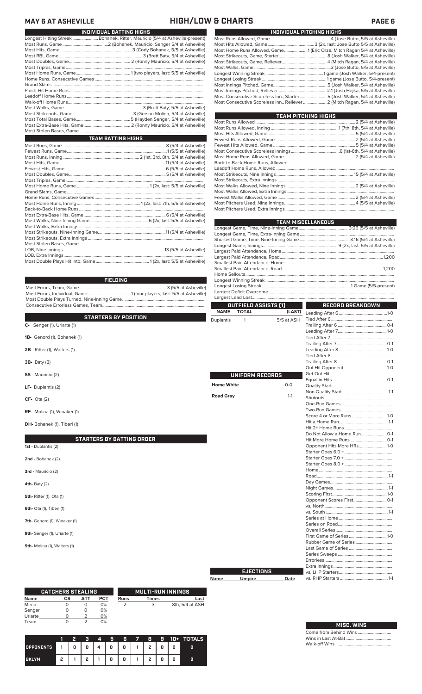### **MAY 6 AT ASHEVILLE HIGH/LOW & CHARTS PAGE 6**

|                    | INDIVIDUAL BATTING HIGHS                                                    |  |  |  |  |  |
|--------------------|-----------------------------------------------------------------------------|--|--|--|--|--|
|                    | Longest Hitting Streak Bohanek, Ritter, Mauricio (5/4 at Asheville-present) |  |  |  |  |  |
|                    |                                                                             |  |  |  |  |  |
|                    |                                                                             |  |  |  |  |  |
|                    |                                                                             |  |  |  |  |  |
|                    |                                                                             |  |  |  |  |  |
|                    |                                                                             |  |  |  |  |  |
|                    |                                                                             |  |  |  |  |  |
|                    |                                                                             |  |  |  |  |  |
|                    |                                                                             |  |  |  |  |  |
|                    |                                                                             |  |  |  |  |  |
|                    |                                                                             |  |  |  |  |  |
|                    |                                                                             |  |  |  |  |  |
|                    |                                                                             |  |  |  |  |  |
|                    |                                                                             |  |  |  |  |  |
|                    |                                                                             |  |  |  |  |  |
|                    |                                                                             |  |  |  |  |  |
|                    |                                                                             |  |  |  |  |  |
| TEAM BATTING HIGHS |                                                                             |  |  |  |  |  |

| Most Consecutive Scoreless Inn., Starter5 (Josh Walker, 5/4 at Asheville)    |  |
|------------------------------------------------------------------------------|--|
| Most Consecutive Scoreless Inn., Reliever  2 (Mitch Ragan, 5/4 at Asheville) |  |
| <b>TEAM PITCHING HIGHS</b>                                                   |  |
|                                                                              |  |
|                                                                              |  |
|                                                                              |  |
|                                                                              |  |
|                                                                              |  |
|                                                                              |  |
|                                                                              |  |
|                                                                              |  |
|                                                                              |  |
|                                                                              |  |
|                                                                              |  |
|                                                                              |  |
|                                                                              |  |
|                                                                              |  |
|                                                                              |  |
|                                                                              |  |

Most Runs Allowed, Game.......................................................4 (Jose Butto, 5/5 at Asheville) Most Hits Allowed, Game..........................................3 (2x, last: Jose Butto 5/5 at Asheville) Most Home Runs Allowed, Game.....................1 (Eric Orze, Mitch Ragan 5/4 at Asheville) Most Strikeouts, Game, Starter............................................8 (Josh Walker, 5/4 at Asheville) Most Strikeouts, Game, Reliever........................................ 4 (Mitch Ragan, 5/4 at Asheville) Most Walks, Game .....................................................................3 (Jose Butto, 5/5 at Asheville) Longest Winning Streak ....................................................1 game (Josh Walker, 5/4-present) Longest Losing Streak ..........................................................1 game (Jose Butto, 5/4-present) Most Innings Pitched, Game.................................................5 (Josh Walker, 5/4 at Asheville) Most Innings Pitched, Reliever ...........................................2.1 (Josh Hejka, 5/5 at Asheville)

**INDIVIDUAL PITCHING HIGHS**

| <b>TEAM MISCELLANEOUS</b> |  |
|---------------------------|--|
|                           |  |
|                           |  |
|                           |  |
|                           |  |
|                           |  |
|                           |  |
|                           |  |
|                           |  |
|                           |  |
|                           |  |
|                           |  |
|                           |  |
|                           |  |

٦

**RECORD BREAKDOWN**

**OUTFIELD ASSISTS (1)**

**Name Umpire Date**

### **FIELDING**

Most Errors, Team, Game...............................................................................3 (5/5 at Asheville) Most Errors, Individual, Game.......................................1 (four players, last: 5/5 at Asheville) Most Double Plays Turned, Nine-Inning Game........................................................................... Consecutive Errorless Games, Team.............................................................................................

|                                  | <b>NAME</b>       | <b>TOTAL</b>           | (LAST)     |                           |  |
|----------------------------------|-------------------|------------------------|------------|---------------------------|--|
| <b>STARTERS BY POSITION</b>      | <b>Duplantis</b>  | $\mathbf{1}$           | 5/5 at ASH |                           |  |
| C- Senger (1), Uriarte (1)       |                   |                        |            |                           |  |
|                                  |                   |                        |            |                           |  |
| 1B- Genord (1), Bohanek (1)      |                   |                        |            |                           |  |
|                                  |                   |                        |            |                           |  |
| 2B- Ritter (1), Walters (1)      |                   |                        |            |                           |  |
|                                  |                   |                        |            |                           |  |
| <b>3B-</b> Baty (2)              |                   |                        |            |                           |  |
|                                  |                   |                        |            |                           |  |
| SS- Mauricio (2)                 |                   | <b>UNIFORM RECORDS</b> |            |                           |  |
|                                  |                   |                        |            |                           |  |
| LF- Duplantis (2)                | <b>Home White</b> |                        | $O-O$      |                           |  |
|                                  |                   |                        |            |                           |  |
| $CF- Ota(2)$                     | <b>Road Gray</b>  |                        | $1 - 1$    |                           |  |
|                                  |                   |                        |            |                           |  |
| RF- Molina (1), Winaker (1)      |                   |                        |            |                           |  |
|                                  |                   |                        |            |                           |  |
|                                  |                   |                        |            |                           |  |
| DH- Bohanek (1), Tiberi (1)      |                   |                        |            |                           |  |
|                                  |                   |                        |            |                           |  |
| <b>STARTERS BY BATTING ORDER</b> |                   |                        |            |                           |  |
| 1st - Duplantis (2)              |                   |                        |            | Opponent Hits More HRs1-0 |  |
|                                  |                   |                        |            |                           |  |
| 2nd - Bohanek (2)                |                   |                        |            |                           |  |
|                                  |                   |                        |            |                           |  |
| 3rd - Mauricio (2)               |                   |                        |            |                           |  |
|                                  |                   |                        |            |                           |  |
| 4th-Baty $(2)$                   |                   |                        |            |                           |  |
|                                  |                   |                        |            |                           |  |
| <b>5th-</b> Ritter (1), Ota (1)  |                   |                        |            |                           |  |
|                                  |                   |                        |            |                           |  |
|                                  |                   |                        |            |                           |  |
| 6th- Ota (1), Tiberi (1)         |                   |                        |            |                           |  |
|                                  |                   |                        |            |                           |  |
| 7th- Genord (1), Winaker (1)     |                   |                        |            |                           |  |
|                                  |                   |                        |            |                           |  |
| 8th- Senger (1), Uriarte (1)     |                   |                        |            |                           |  |
|                                  |                   |                        |            |                           |  |
| 9th- Molina (1), Walters (1)     |                   |                        |            |                           |  |
|                                  |                   |                        |            |                           |  |
|                                  |                   |                        |            |                           |  |
|                                  |                   |                        |            |                           |  |
|                                  |                   | <b>EJECTIONS</b>       |            |                           |  |

|         | <b>CATCHERS STEALING</b> |     |            |             | <b>MULTI-RUN INNINGS</b> |                 |
|---------|--------------------------|-----|------------|-------------|--------------------------|-----------------|
| Name    | СS                       | ATT | <b>PCT</b> | <b>Runs</b> | <b>Times</b>             | Last            |
| Mena    |                          | O   | 0%         |             | 3                        | 8th, 5/4 at ASH |
| Senger  |                          | O   | 0%         |             |                          |                 |
| Uriarte |                          |     | 0%         |             |                          |                 |
| Team    |                          |     | 0%         |             |                          |                 |

|                  |                    | 2 | c. | 4              | п | 6 | ▼∧ | 8 | 9 |   | 10+ TOTALS |
|------------------|--------------------|---|----|----------------|---|---|----|---|---|---|------------|
| <b>OPPONENTS</b> | $\blacktriangle$ 1 | 0 | 0  | $\overline{A}$ | 0 | 0 |    | , |   | 0 | 8          |
| <b>BKLYN</b>     | 2                  |   |    |                | 0 | 0 |    |   |   | 0 | 9          |

| $\frac{1}{2}$ |
|---------------|

# **MISC. WINS**

| Come from Behind Wins |  |  |  |  |  |  |  |
|-----------------------|--|--|--|--|--|--|--|
|                       |  |  |  |  |  |  |  |
|                       |  |  |  |  |  |  |  |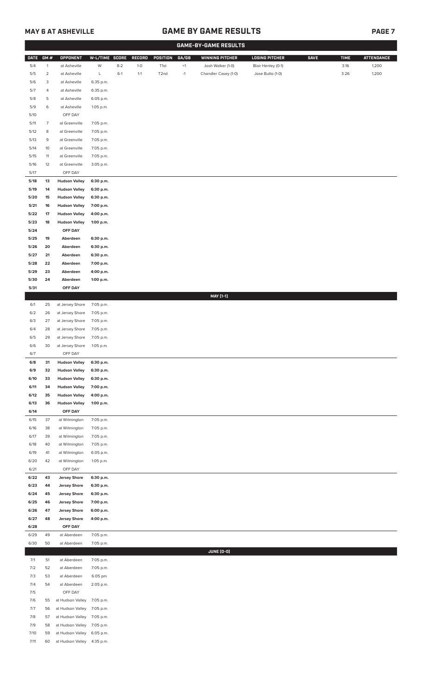### **MAY 6 AT ASHEVILLE GAME BY GAME RESULTS**

|--|--|

|              |                |                                              |                        |         |               |                   |             | <b>GAME-BY-GAME RESULTS</b> |                       |             |             |                   |
|--------------|----------------|----------------------------------------------|------------------------|---------|---------------|-------------------|-------------|-----------------------------|-----------------------|-------------|-------------|-------------------|
| <b>DATE</b>  | GM#            | <b>OPPONENT</b>                              | W-L/TIME SCORE         |         | <b>RECORD</b> | POSITION          | GA/GB       | <b>WINNING PITCHER</b>      | <b>LOSING PITCHER</b> | <b>SAVE</b> | <b>TIME</b> | <b>ATTENDANCE</b> |
| 5/4          | $\mathbf{1}$   | at Asheville                                 | W                      | $8 - 2$ | $1-0$         | T1st              | $^{\rm +1}$ | Josh Walker (1-0)           | Blair Henley (0-1)    |             | 3:16        | 1,200             |
| 5/5          | $\overline{a}$ | at Asheville                                 | L                      | $6-1$   | $1 - 1$       | T <sub>2</sub> nd | $-1$        | Chandler Casey (1-0)        | Jose Butto (1-0)      |             | 3:26        | 1,200             |
| 5/6          | 3              | at Asheville                                 | 6:35 p.m.              |         |               |                   |             |                             |                       |             |             |                   |
| 5/7          | 4              | at Asheville                                 | 6:35 p.m.              |         |               |                   |             |                             |                       |             |             |                   |
| 5/8          | 5              | at Asheville                                 | 6:05 p.m.              |         |               |                   |             |                             |                       |             |             |                   |
| 5/9<br>5/10  | 6              | at Asheville<br>OFF DAY                      | 1:05 p.m.              |         |               |                   |             |                             |                       |             |             |                   |
| 5/11         | $\overline{7}$ | at Greenville                                | 7:05 p.m.              |         |               |                   |             |                             |                       |             |             |                   |
| 5/12         | 8              | at Greenville                                | 7:05 p.m.              |         |               |                   |             |                             |                       |             |             |                   |
| 5/13         | 9              | at Greenville                                | 7:05 p.m.              |         |               |                   |             |                             |                       |             |             |                   |
| 5/14         | 10             | at Greenville                                | 7:05 p.m.              |         |               |                   |             |                             |                       |             |             |                   |
| 5/15         | 11             | at Greenville                                | 7:05 p.m.              |         |               |                   |             |                             |                       |             |             |                   |
| 5/16         | 12             | at Greenville                                | 3:05 p.m.              |         |               |                   |             |                             |                       |             |             |                   |
| 5/17         |                | OFF DAY                                      |                        |         |               |                   |             |                             |                       |             |             |                   |
| 5/18         | 13             | <b>Hudson Valley</b>                         | 6:30 p.m.              |         |               |                   |             |                             |                       |             |             |                   |
| 5/19         | 14             | <b>Hudson Valley</b>                         | 6:30 p.m.              |         |               |                   |             |                             |                       |             |             |                   |
| 5/20<br>5/21 | 15<br>16       | <b>Hudson Valley</b><br><b>Hudson Valley</b> | 6:30 p.m.<br>7:00 p.m. |         |               |                   |             |                             |                       |             |             |                   |
| 5/22         | 17             | <b>Hudson Valley</b>                         | 4:00 p.m.              |         |               |                   |             |                             |                       |             |             |                   |
| 5/23         | 18             | <b>Hudson Valley</b>                         | 1:00 p.m.              |         |               |                   |             |                             |                       |             |             |                   |
| 5/24         |                | OFF DAY                                      |                        |         |               |                   |             |                             |                       |             |             |                   |
| 5/25         | 19             | Aberdeen                                     | 6:30 p.m.              |         |               |                   |             |                             |                       |             |             |                   |
| 5/26         | 20             | Aberdeen                                     | 6:30 p.m.              |         |               |                   |             |                             |                       |             |             |                   |
| 5/27         | 21             | Aberdeen                                     | 6:30 p.m.              |         |               |                   |             |                             |                       |             |             |                   |
| 5/28         | 22             | Aberdeen                                     | 7:00 p.m.              |         |               |                   |             |                             |                       |             |             |                   |
| 5/29         | 23             | Aberdeen                                     | 4:00 p.m.              |         |               |                   |             |                             |                       |             |             |                   |
| 5/30         | 24             | Aberdeen                                     | 1:00 p.m.              |         |               |                   |             |                             |                       |             |             |                   |
| 5/31         |                | OFF DAY                                      |                        |         |               |                   |             | <b>MAY [1-1]</b>            |                       |             |             |                   |
| 6/1          | 25             | at Jersey Shore                              | 7:05 p.m.              |         |               |                   |             |                             |                       |             |             |                   |
| 6/2          | 26             | at Jersey Shore                              | 7:05 p.m.              |         |               |                   |             |                             |                       |             |             |                   |
| 6/3          | 27             | at Jersey Shore                              | 7:05 p.m.              |         |               |                   |             |                             |                       |             |             |                   |
| 6/4          | 28             | at Jersey Shore                              | 7:05 p.m.              |         |               |                   |             |                             |                       |             |             |                   |
| 6/5          | 29             | at Jersey Shore                              | 7:05 p.m.              |         |               |                   |             |                             |                       |             |             |                   |
| 6/6          | 30             | at Jersey Shore                              | 1:05 p.m.              |         |               |                   |             |                             |                       |             |             |                   |
| 6/7          |                | OFF DAY                                      |                        |         |               |                   |             |                             |                       |             |             |                   |
| $6/8$        | 31             | <b>Hudson Valley</b>                         | 6:30 p.m.              |         |               |                   |             |                             |                       |             |             |                   |
| 6/9          | 32             | <b>Hudson Valley</b>                         | 6:30 p.m.              |         |               |                   |             |                             |                       |             |             |                   |
| 6/10<br>6/11 | 33<br>34       | <b>Hudson Valley</b><br><b>Hudson Valley</b> | 6:30 p.m.<br>7:00 p.m. |         |               |                   |             |                             |                       |             |             |                   |
| 6/12         | 35             | <b>Hudson Valley</b>                         | 4:00 p.m.              |         |               |                   |             |                             |                       |             |             |                   |
| 6/13         | 36             | <b>Hudson Valley</b>                         | 1:00 p.m.              |         |               |                   |             |                             |                       |             |             |                   |
| 6/14         |                | OFF DAY                                      |                        |         |               |                   |             |                             |                       |             |             |                   |
| 6/15         | 37             | at Wilmington                                | 7:05 p.m.              |         |               |                   |             |                             |                       |             |             |                   |
| 6/16         | 38             | at Wilmington                                | 7:05 p.m.              |         |               |                   |             |                             |                       |             |             |                   |
| 6/17         | 39             | at Wilmington                                | 7:05 p.m.              |         |               |                   |             |                             |                       |             |             |                   |
| 6/18         | 40             | at Wilmington                                | 7:05 p.m.              |         |               |                   |             |                             |                       |             |             |                   |
| 6/19<br>6/20 | 41<br>42       | at Wilmington<br>at Wilmington               | 6:05 p.m.<br>1:05 p.m. |         |               |                   |             |                             |                       |             |             |                   |
| 6/21         |                | OFF DAY                                      |                        |         |               |                   |             |                             |                       |             |             |                   |
| 6/22         | 43             | <b>Jersey Shore</b>                          | 6:30 p.m.              |         |               |                   |             |                             |                       |             |             |                   |
| 6/23         | 44             | <b>Jersey Shore</b>                          | 6:30 p.m.              |         |               |                   |             |                             |                       |             |             |                   |
| 6/24         | 45             | <b>Jersey Shore</b>                          | 6:30 p.m.              |         |               |                   |             |                             |                       |             |             |                   |
| 6/25         | 46             | <b>Jersey Shore</b>                          | 7:00 p.m.              |         |               |                   |             |                             |                       |             |             |                   |
| 6/26         | 47             | <b>Jersey Shore</b>                          | 6:00 p.m.              |         |               |                   |             |                             |                       |             |             |                   |
| 6/27         | 48             | <b>Jersey Shore</b>                          | 4:00 p.m.              |         |               |                   |             |                             |                       |             |             |                   |
| 6/28         |                | OFF DAY                                      |                        |         |               |                   |             |                             |                       |             |             |                   |
| 6/29<br>6/30 | 49<br>50       | at Aberdeen<br>at Aberdeen                   | 7:05 p.m.<br>7:05 p.m. |         |               |                   |             |                             |                       |             |             |                   |
|              |                |                                              |                        |         |               |                   |             | <b>JUNE (0-0)</b>           |                       |             |             |                   |
| 7/1          | 51             | at Aberdeen                                  | 7:05 p.m.              |         |               |                   |             |                             |                       |             |             |                   |
| 7/2          | 52             | at Aberdeen                                  | 7:05 p.m.              |         |               |                   |             |                             |                       |             |             |                   |
| 7/3          | 53             | at Aberdeen                                  | 6:05 pm.               |         |               |                   |             |                             |                       |             |             |                   |
| 7/4          | 54             | at Aberdeen                                  | 2:05 p.m.              |         |               |                   |             |                             |                       |             |             |                   |
| 7/5          |                | OFF DAY                                      |                        |         |               |                   |             |                             |                       |             |             |                   |
| 7/6          | 55             | at Hudson Valley                             | 7:05 p.m.              |         |               |                   |             |                             |                       |             |             |                   |
|              | 56             | at Hudson Valley                             | 7:05 p.m.              |         |               |                   |             |                             |                       |             |             |                   |
| 7/7          |                |                                              |                        |         |               |                   |             |                             |                       |             |             |                   |
| 7/8          | 57             | at Hudson Valley                             | 7:05 p.m.              |         |               |                   |             |                             |                       |             |             |                   |
| 7/9<br>7/10  | 58<br>59       | at Hudson Valley<br>at Hudson Valley         | 7:05 p.m.<br>6:05 p.m. |         |               |                   |             |                             |                       |             |             |                   |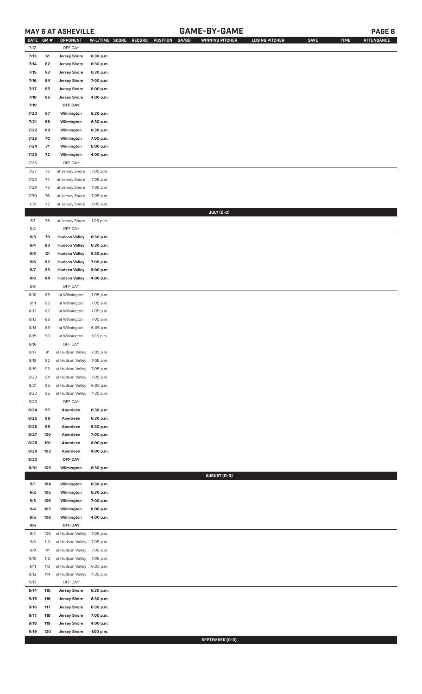### **MAY 6 AT ASHEVILLE GAME-BY-GAME PAGE 8**

| <b>DATE</b> | GM# | OPPONENT                   | W-L/TIME SCORE | GA/GB<br><b>RECORD</b><br>POSITION | <b>WINNING PITCHER</b> | <b>LOSING PITCHER</b> | <b>SAVE</b> | <b>TIME</b> | <b>ATTENDANCE</b> |
|-------------|-----|----------------------------|----------------|------------------------------------|------------------------|-----------------------|-------------|-------------|-------------------|
| 7/12        |     | OFF DAY                    |                |                                    |                        |                       |             |             |                   |
| 7/13        | 61  | <b>Jersey Shore</b>        | 6:30 p.m.      |                                    |                        |                       |             |             |                   |
| 7/14        | 62  | <b>Jersey Shore</b>        | 6:30 p.m.      |                                    |                        |                       |             |             |                   |
| 7/15        | 63  | <b>Jersey Shore</b>        | 6:30 p.m.      |                                    |                        |                       |             |             |                   |
| 7/16        | 64  | <b>Jersey Shore</b>        | 7:00 p.m.      |                                    |                        |                       |             |             |                   |
| 7/17        | 65  | <b>Jersey Shore</b>        | 6:00 p.m.      |                                    |                        |                       |             |             |                   |
| 7/18        | 66  |                            |                |                                    |                        |                       |             |             |                   |
|             |     | <b>Jersey Shore</b>        | 4:00 p.m.      |                                    |                        |                       |             |             |                   |
| 7/19        |     | OFF DAY                    |                |                                    |                        |                       |             |             |                   |
| 7/20        | 67  | Wilmington                 | 6:30 p.m.      |                                    |                        |                       |             |             |                   |
| 7/21        | 68  | Wilmington                 | 6:30 p.m.      |                                    |                        |                       |             |             |                   |
| 7/22        | 69  | Wilmington                 | 6:30 p.m.      |                                    |                        |                       |             |             |                   |
| 7/23        | 70  | Wilmington                 | 7:00 p.m.      |                                    |                        |                       |             |             |                   |
| 7/24        | 71  | Wilmington                 | 6:00 p.m.      |                                    |                        |                       |             |             |                   |
| 7/25        | 72  | Wilmington                 | 4:00 p.m.      |                                    |                        |                       |             |             |                   |
| 7/26        |     | OFF DAY                    |                |                                    |                        |                       |             |             |                   |
| $7/27$      | 73  | at Jersey Shore            | 7:05 p.m.      |                                    |                        |                       |             |             |                   |
| 7/28        | 74  | at Jersey Shore            | 7:05 p.m.      |                                    |                        |                       |             |             |                   |
| 7/29        | 75  | at Jersey Shore            | 7:05 p.m.      |                                    |                        |                       |             |             |                   |
| 7/30        |     | at Jersey Shore            |                |                                    |                        |                       |             |             |                   |
|             | 76  |                            | 7:05 p.m.      |                                    |                        |                       |             |             |                   |
| 7/31        | 77  | at Jersey Shore            | 7:05 p.m.      |                                    |                        |                       |             |             |                   |
|             |     |                            |                |                                    | JULY (0-0)             |                       |             |             |                   |
| 8/1         | 78  | at Jersey Shore            | 1:05 p.m.      |                                    |                        |                       |             |             |                   |
| 8/2         |     | OFF DAY                    |                |                                    |                        |                       |             |             |                   |
| 8/3         | 79  | <b>Hudson Valley</b>       | 6:30 p.m.      |                                    |                        |                       |             |             |                   |
| 8/4         | 80  | <b>Hudson Valley</b>       | 6:30 p.m.      |                                    |                        |                       |             |             |                   |
| 8/5         | 81  | <b>Hudson Valley</b>       | 6:30 p.m.      |                                    |                        |                       |             |             |                   |
| 8/6         | 82  | <b>Hudson Valley</b>       | 7:00 p.m.      |                                    |                        |                       |             |             |                   |
| 8/7         | 83  | <b>Hudson Valley</b>       | 6:00 p.m.      |                                    |                        |                       |             |             |                   |
| 8/8         | 84  | <b>Hudson Valley</b>       | 4:00 p.m.      |                                    |                        |                       |             |             |                   |
| 8/9         |     | OFF DAY                    |                |                                    |                        |                       |             |             |                   |
| 8/10        | 85  | at Wilmington              | 7:05 p.m.      |                                    |                        |                       |             |             |                   |
|             |     |                            |                |                                    |                        |                       |             |             |                   |
| 8/11        | 86  | at Wilmington              | 7:05 p.m.      |                                    |                        |                       |             |             |                   |
| 8/12        | 87  | at Wilmington              | 7:05 p.m.      |                                    |                        |                       |             |             |                   |
| 8/13        | 88  | at Wilmington              | 7:05 p.m.      |                                    |                        |                       |             |             |                   |
| 8/14        | 89  | at Wilmington              | 6:05 p.m.      |                                    |                        |                       |             |             |                   |
| 8/15        | 90  | at Wilmington              | 1:05 p.m.      |                                    |                        |                       |             |             |                   |
| 8/16        |     | OFF DAY                    |                |                                    |                        |                       |             |             |                   |
| 8/17        | 91  | at Hudson Valley 7:05 p.m. |                |                                    |                        |                       |             |             |                   |
| 8/18        | 92  | at Hudson Valley           | 7:05 p.m.      |                                    |                        |                       |             |             |                   |
| 8/19        | 93  | at Hudson Valley           | 7:05 p.m.      |                                    |                        |                       |             |             |                   |
| 8/20        | 94  | at Hudson Valley           | 7:05 p.m.      |                                    |                        |                       |             |             |                   |
| 8/21        | 95  | at Hudson Valley           | 6:05 p.m.      |                                    |                        |                       |             |             |                   |
| 8/22        | 96  | at Hudson Valley           | 4:35 p.m.      |                                    |                        |                       |             |             |                   |
|             |     |                            |                |                                    |                        |                       |             |             |                   |
| 8/23        |     | OFF DAY                    |                |                                    |                        |                       |             |             |                   |
| 8/24        | 97  | Aberdeen                   | 6:30 p.m.      |                                    |                        |                       |             |             |                   |
| 8/25        | 98  | Aberdeen                   | 6:30 p.m.      |                                    |                        |                       |             |             |                   |
| 8/26        | 99  | Aberdeen                   | 6:30 p.m.      |                                    |                        |                       |             |             |                   |
| 8/27        | 100 | Aberdeen                   | 7:00 p.m.      |                                    |                        |                       |             |             |                   |
| 8/28        | 101 | Aberdeen                   | 6:00 p.m.      |                                    |                        |                       |             |             |                   |
| 8/29        | 102 | Aberdeen                   | 4:00 p.m.      |                                    |                        |                       |             |             |                   |
| 8/30        |     | OFF DAY                    |                |                                    |                        |                       |             |             |                   |
| 8/31        | 103 | Wilmington                 | 6:30 p.m.      |                                    |                        |                       |             |             |                   |
|             |     |                            |                |                                    | AUGUST (0-0)           |                       |             |             |                   |
| 9/1         | 104 | Wilmington                 | 6:30 p.m.      |                                    |                        |                       |             |             |                   |
| 9/2         | 105 | Wilmington                 | 6:30 p.m.      |                                    |                        |                       |             |             |                   |
|             |     |                            |                |                                    |                        |                       |             |             |                   |
| 9/3         | 106 | Wilmington                 | 7:00 p.m.      |                                    |                        |                       |             |             |                   |
| 9/4         | 107 | Wilmington                 | 6:00 p.m.      |                                    |                        |                       |             |             |                   |
| 9/5         | 108 | Wilmington                 | 4:00 p.m.      |                                    |                        |                       |             |             |                   |
| 9/6         |     | OFF DAY                    |                |                                    |                        |                       |             |             |                   |
| 9/7         | 109 | at Hudson Valley           | 7:05 p.m.      |                                    |                        |                       |             |             |                   |
| 9/8         | 110 | at Hudson Valley           | 7:05 p.m.      |                                    |                        |                       |             |             |                   |
| 9/9         | 111 | at Hudson Valley           | 7:05 p.m.      |                                    |                        |                       |             |             |                   |
| 9/10        | 112 | at Hudson Valley           | 7:05 p.m.      |                                    |                        |                       |             |             |                   |
| 9/11        | 113 | at Hudson Valley           | 6:05 p.m.      |                                    |                        |                       |             |             |                   |
| 9/12        | 114 | at Hudson Valley           | 4:35 p.m.      |                                    |                        |                       |             |             |                   |
| 9/13        |     | OFF DAY                    |                |                                    |                        |                       |             |             |                   |
|             |     |                            |                |                                    |                        |                       |             |             |                   |
| 9/14        | 115 | <b>Jersey Shore</b>        | 6:30 p.m.      |                                    |                        |                       |             |             |                   |
| 9/15        | 116 | <b>Jersey Shore</b>        | 6:30 p.m.      |                                    |                        |                       |             |             |                   |
| 9/16        | 117 | <b>Jersey Shore</b>        | 6:30 p.m.      |                                    |                        |                       |             |             |                   |
| 9/17        | 118 | <b>Jersey Shore</b>        | 7:00 p.m.      |                                    |                        |                       |             |             |                   |
| 9/18        | 119 | <b>Jersey Shore</b>        | 4:00 p.m.      |                                    |                        |                       |             |             |                   |
| 9/19        | 120 | <b>Jersey Shore</b>        | 1:00 p.m.      |                                    |                        |                       |             |             |                   |

**SEPTEMBER (0-0)**